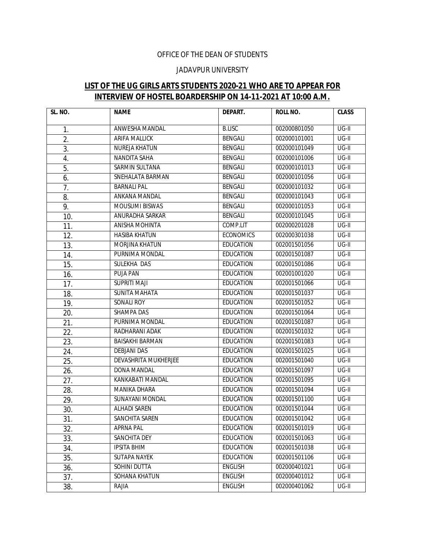## OFFICE OF THE DEAN OF STUDENTS

## JADAVPUR UNIVERSITY

## **LIST OF THE UG GIRLS ARTS STUDENTS 2020-21 WHO ARE TO APPEAR FOR INTERVIEW OF HOSTEL BOARDERSHIP ON 14-11-2021 AT 10:00 A.M.**

| SL. NO. | <b>NAME</b>                 | DEPART.          | <b>ROLL NO.</b> | <b>CLASS</b> |
|---------|-----------------------------|------------------|-----------------|--------------|
| 1.      | ANWESHA MANDAL              | <b>B.LISC</b>    | 002000801050    | $UG-II$      |
| 2.      | ARIFA MALLICK               | <b>BENGALI</b>   | 002000101001    | $UG-II$      |
| 3.      | NUREJA KHATUN               | <b>BENGALI</b>   | 002000101049    | UG-II        |
| 4.      | NANDITA SAHA                | <b>BENGALI</b>   | 002000101006    | UG-II        |
| 5.      | <b>SARMIN SULTANA</b>       | <b>BENGALI</b>   | 002000101013    | $UG-II$      |
| 6.      | SNEHALATA BARMAN            | <b>BENGALI</b>   | 002000101056    | $UG-II$      |
| 7.      | <b>BARNALI PAL</b>          | <b>BENGALI</b>   | 002000101032    | $UG-II$      |
| 8.      | ANKANA MANDAL               | <b>BENGALI</b>   | 002000101043    | $UG-II$      |
| 9.      | <b>MOUSUMI BISWAS</b>       | <b>BENGALI</b>   | 002000101053    | $UG-II$      |
| 10.     | ANURADHA SARKAR             | <b>BENGALI</b>   | 002000101045    | UG-II        |
| 11.     | ANISHA MOHINTA              | COMP.LIT         | 002000201028    | UG-II        |
| 12.     | <b>HASIBA KHATUN</b>        | <b>ECONOMICS</b> | 002000301038    | $UG-II$      |
| 13.     | MORJINA KHATUN              | <b>EDUCATION</b> | 002001501056    | $UG-II$      |
| 14.     | PURNIMA MONDAL              | <b>EDUCATION</b> | 002001501087    | $UG-II$      |
| 15.     | SULEKHA DAS                 | <b>EDUCATION</b> | 002001501086    | $UG-II$      |
| 16.     | PUJA PAN                    | <b>EDUCATION</b> | 002001001020    | UG-II        |
| 17.     | SUPRITI MAJI                | <b>EDUCATION</b> | 002001501066    | UG-II        |
| 18.     | <b>SUNITA MAHATA</b>        | <b>EDUCATION</b> | 002001501037    | $UG-II$      |
| 19.     | SONALI ROY                  | <b>EDUCATION</b> | 002001501052    | $UG-II$      |
| 20.     | SHAMPA DAS                  | <b>EDUCATION</b> | 002001501064    | $UG-II$      |
| 21.     | PURNIMA MONDAL              | <b>EDUCATION</b> | 002001501087    | $UG-II$      |
| 22.     | RADHARANI ADAK              | <b>EDUCATION</b> | 002001501032    | $UG-II$      |
| 23.     | <b>BAISAKHI BARMAN</b>      | <b>EDUCATION</b> | 002001501083    | UG-II        |
| 24.     | <b>DEBJANI DAS</b>          | <b>EDUCATION</b> | 002001501025    | $UG-II$      |
| 25.     | <b>DEVASHRITA MUKHERJEE</b> | <b>EDUCATION</b> | 002001501040    | UG-II        |
| 26.     | DONA MANDAL                 | <b>EDUCATION</b> | 002001501097    | $UG-II$      |
| 27.     | KANKABATI MANDAL            | <b>EDUCATION</b> | 002001501095    | $UG-II$      |
| 28.     | <b>MANIKA DHARA</b>         | <b>EDUCATION</b> | 002001501094    | $UG-II$      |
| 29.     | <b>SUNAYANI MONDAL</b>      | <b>EDUCATION</b> | 002001501100    | $UG-II$      |
| 30.     | <b>ALHADI SAREN</b>         | <b>EDUCATION</b> | 002001501044    | $UG-II$      |
| 31.     | SANCHITA SAREN              | <b>EDUCATION</b> | 002001501042    | $UG-II$      |
| 32.     | <b>APRNA PAL</b>            | <b>EDUCATION</b> | 002001501019    | UG-II        |
| 33.     | SANCHITA DEY                | <b>EDUCATION</b> | 002001501063    | UG-II        |
| 34.     | <b>IPSITA BHIM</b>          | <b>EDUCATION</b> | 002001501038    | UG-II        |
| 35.     | SUTAPA NAYEK                | <b>EDUCATION</b> | 002001501106    | UG-II        |
| 36.     | SOHINI DUTTA                | <b>ENGLISH</b>   | 002000401021    | $UG-II$      |
| 37.     | SOHANA KHATUN               | <b>ENGLISH</b>   | 002000401012    | UG-II        |
| 38.     | RAJIA                       | <b>ENGLISH</b>   | 002000401062    | UG-II        |